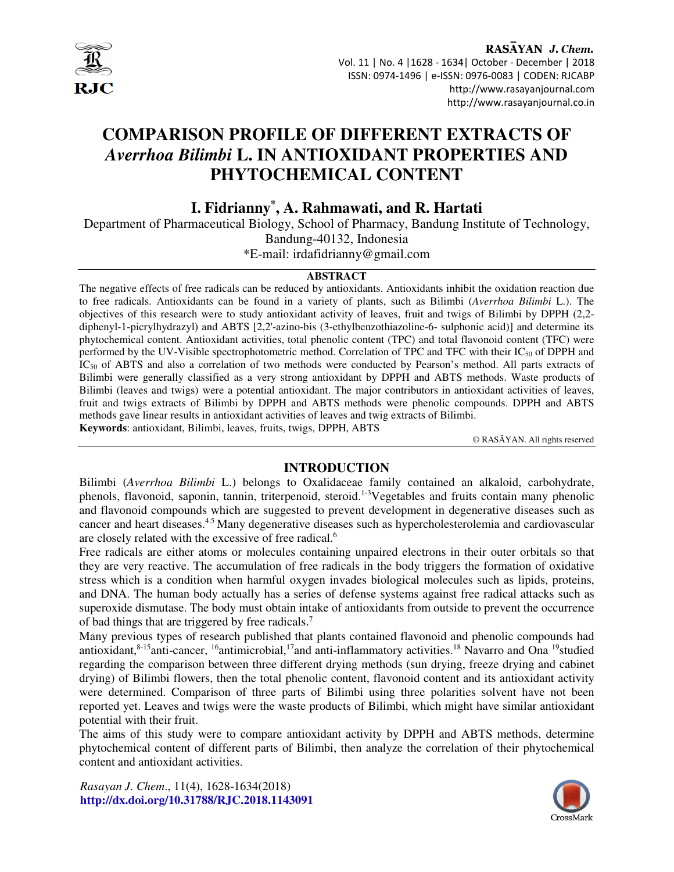

RASAYAN J. Chem. Vol. 11 | No. 4 |1628 - 1634| October - December | 2018 ISSN: 0974-1496 | e-ISSN: 0976-0083 | CODEN: RJCABP http://www.rasayanjournal.com http://www.rasayanjournal.co.in

# **COMPARISON PROFILE OF DIFFERENT EXTRACTS OF**  *Averrhoa Bilimbi* **L. IN ANTIOXIDANT PROPERTIES AND PHYTOCHEMICAL CONTENT**

**I. Fidrianny\* , A. Rahmawati, and R. Hartati** 

Department of Pharmaceutical Biology, School of Pharmacy, Bandung Institute of Technology, Bandung-40132, Indonesia

\*E-mail: irdafidrianny@gmail.com

# **ABSTRACT**

The negative effects of free radicals can be reduced by antioxidants. Antioxidants inhibit the oxidation reaction due to free radicals. Antioxidants can be found in a variety of plants, such as Bilimbi (*Averrhoa Bilimbi* L.). The objectives of this research were to study antioxidant activity of leaves, fruit and twigs of Bilimbi by DPPH (2,2 diphenyl-1-picrylhydrazyl) and ABTS [2,2'-azino-bis (3-ethylbenzothiazoline-6- sulphonic acid)] and determine its phytochemical content. Antioxidant activities, total phenolic content (TPC) and total flavonoid content (TFC) were performed by the UV-Visible spectrophotometric method. Correlation of TPC and TFC with their  $IC_{50}$  of DPPH and IC<sub>50</sub> of ABTS and also a correlation of two methods were conducted by Pearson's method. All parts extracts of Bilimbi were generally classified as a very strong antioxidant by DPPH and ABTS methods. Waste products of Bilimbi (leaves and twigs) were a potential antioxidant. The major contributors in antioxidant activities of leaves, fruit and twigs extracts of Bilimbi by DPPH and ABTS methods were phenolic compounds. DPPH and ABTS methods gave linear results in antioxidant activities of leaves and twig extracts of Bilimbi. **Keywords**: antioxidant, Bilimbi, leaves, fruits, twigs, DPPH, ABTS

© RASĀYAN. All rights reserved

## **INTRODUCTION**

Bilimbi (*Averrhoa Bilimbi* L.) belongs to Oxalidaceae family contained an alkaloid, carbohydrate, phenols, flavonoid, saponin, tannin, triterpenoid, steroid.<sup>1-3</sup>Vegetables and fruits contain many phenolic and flavonoid compounds which are suggested to prevent development in degenerative diseases such as cancer and heart diseases.<sup>4,5</sup> Many degenerative diseases such as hypercholesterolemia and cardiovascular are closely related with the excessive of free radical.<sup>6</sup>

Free radicals are either atoms or molecules containing unpaired electrons in their outer orbitals so that they are very reactive. The accumulation of free radicals in the body triggers the formation of oxidative stress which is a condition when harmful oxygen invades biological molecules such as lipids, proteins, and DNA. The human body actually has a series of defense systems against free radical attacks such as superoxide dismutase. The body must obtain intake of antioxidants from outside to prevent the occurrence of bad things that are triggered by free radicals. 7

Many previous types of research published that plants contained flavonoid and phenolic compounds had antioxidant,<sup>8-15</sup>anti-cancer, <sup>16</sup>antimicrobial,<sup>17</sup>and anti-inflammatory activities.<sup>18</sup> Navarro and Ona <sup>19</sup>studied regarding the comparison between three different drying methods (sun drying, freeze drying and cabinet drying) of Bilimbi flowers, then the total phenolic content, flavonoid content and its antioxidant activity were determined. Comparison of three parts of Bilimbi using three polarities solvent have not been reported yet. Leaves and twigs were the waste products of Bilimbi, which might have similar antioxidant potential with their fruit.

The aims of this study were to compare antioxidant activity by DPPH and ABTS methods, determine phytochemical content of different parts of Bilimbi, then analyze the correlation of their phytochemical content and antioxidant activities.

*Rasayan J. Chem*., 11(4), 1628-1634(2018) **http://dx.doi.org/10.31788/RJC.2018.1143091**

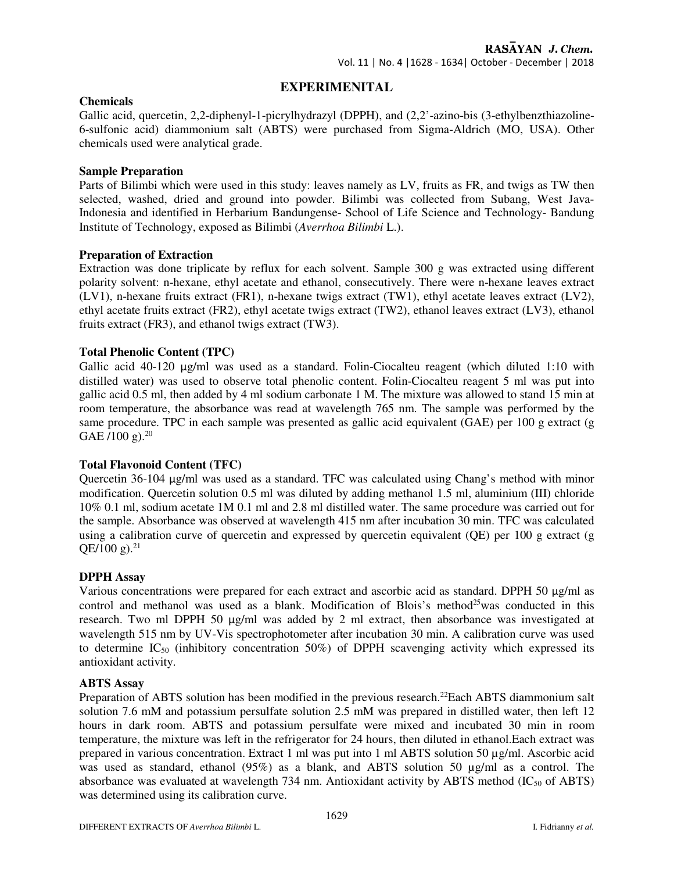## **EXPERIMENITAL**

## **Chemicals**

Gallic acid, quercetin, 2,2-diphenyl-1-picrylhydrazyl (DPPH), and (2,2'-azino-bis (3-ethylbenzthiazoline-6-sulfonic acid) diammonium salt (ABTS) were purchased from Sigma-Aldrich (MO, USA). Other chemicals used were analytical grade.

#### **Sample Preparation**

Parts of Bilimbi which were used in this study: leaves namely as LV, fruits as FR, and twigs as TW then selected, washed, dried and ground into powder. Bilimbi was collected from Subang, West Java-Indonesia and identified in Herbarium Bandungense- School of Life Science and Technology- Bandung Institute of Technology, exposed as Bilimbi (*Averrhoa Bilimbi* L.).

## **Preparation of Extraction**

Extraction was done triplicate by reflux for each solvent. Sample 300 g was extracted using different polarity solvent: n-hexane, ethyl acetate and ethanol, consecutively. There were n-hexane leaves extract (LV1), n-hexane fruits extract (FR1), n-hexane twigs extract (TW1), ethyl acetate leaves extract (LV2), ethyl acetate fruits extract (FR2), ethyl acetate twigs extract (TW2), ethanol leaves extract (LV3), ethanol fruits extract (FR3), and ethanol twigs extract (TW3).

## **Total Phenolic Content (TPC)**

Gallic acid  $40-120 \mu g/ml$  was used as a standard. Folin-Ciocalteu reagent (which diluted 1:10 with distilled water) was used to observe total phenolic content. Folin-Ciocalteu reagent 5 ml was put into gallic acid 0.5 ml, then added by 4 ml sodium carbonate 1 M. The mixture was allowed to stand 15 min at room temperature, the absorbance was read at wavelength 765 nm. The sample was performed by the same procedure. TPC in each sample was presented as gallic acid equivalent (GAE) per 100 g extract (g GAE /100 g). $^{20}$ 

#### **Total Flavonoid Content (TFC)**

Quercetin 36-104 µg/ml was used as a standard. TFC was calculated using Chang's method with minor modification. Quercetin solution 0.5 ml was diluted by adding methanol 1.5 ml, aluminium (III) chloride 10% 0.1 ml, sodium acetate 1M 0.1 ml and 2.8 ml distilled water. The same procedure was carried out for the sample. Absorbance was observed at wavelength 415 nm after incubation 30 min. TFC was calculated using a calibration curve of quercetin and expressed by quercetin equivalent (QE) per 100 g extract (g  $QE/100 g$ ).<sup>21</sup>

#### **DPPH Assay**

Various concentrations were prepared for each extract and ascorbic acid as standard. DPPH 50  $\mu$ g/ml as control and methanol was used as a blank. Modification of Blois's method<sup>25</sup>was conducted in this research. Two ml DPPH 50 µg/ml was added by 2 ml extract, then absorbance was investigated at wavelength 515 nm by UV-Vis spectrophotometer after incubation 30 min. A calibration curve was used to determine  $IC_{50}$  (inhibitory concentration 50%) of DPPH scavenging activity which expressed its antioxidant activity.

## **ABTS Assay**

Preparation of ABTS solution has been modified in the previous research.<sup>22</sup>Each ABTS diammonium salt solution 7.6 mM and potassium persulfate solution 2.5 mM was prepared in distilled water, then left 12 hours in dark room. ABTS and potassium persulfate were mixed and incubated 30 min in room temperature, the mixture was left in the refrigerator for 24 hours, then diluted in ethanol.Each extract was prepared in various concentration. Extract 1 ml was put into 1 ml ABTS solution 50 µg/ml. Ascorbic acid was used as standard, ethanol (95%) as a blank, and ABTS solution 50  $\mu$ g/ml as a control. The absorbance was evaluated at wavelength 734 nm. Antioxidant activity by ABTS method  $(IC_{50}$  of ABTS) was determined using its calibration curve.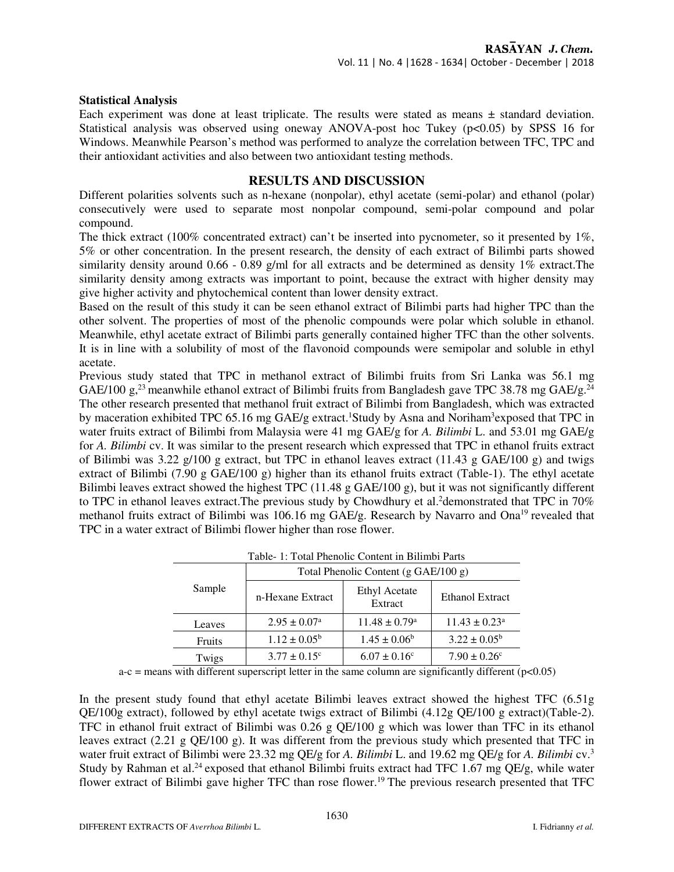## **Statistical Analysis**

Each experiment was done at least triplicate. The results were stated as means  $\pm$  standard deviation. Statistical analysis was observed using oneway ANOVA-post hoc Tukey ( $p<0.05$ ) by SPSS 16 for Windows. Meanwhile Pearson's method was performed to analyze the correlation between TFC, TPC and their antioxidant activities and also between two antioxidant testing methods.

## **RESULTS AND DISCUSSION**

Different polarities solvents such as n-hexane (nonpolar), ethyl acetate (semi-polar) and ethanol (polar) consecutively were used to separate most nonpolar compound, semi-polar compound and polar compound.

The thick extract (100% concentrated extract) can't be inserted into pycnometer, so it presented by  $1\%$ , 5% or other concentration. In the present research, the density of each extract of Bilimbi parts showed similarity density around  $0.66 - 0.89$  g/ml for all extracts and be determined as density 1% extract. The similarity density among extracts was important to point, because the extract with higher density may give higher activity and phytochemical content than lower density extract.

Based on the result of this study it can be seen ethanol extract of Bilimbi parts had higher TPC than the other solvent. The properties of most of the phenolic compounds were polar which soluble in ethanol. Meanwhile, ethyl acetate extract of Bilimbi parts generally contained higher TFC than the other solvents. It is in line with a solubility of most of the flavonoid compounds were semipolar and soluble in ethyl acetate.

Previous study stated that TPC in methanol extract of Bilimbi fruits from Sri Lanka was 56.1 mg GAE/100 g,<sup>23</sup> meanwhile ethanol extract of Bilimbi fruits from Bangladesh gave TPC 38.78 mg GAE/g.<sup>24</sup> The other research presented that methanol fruit extract of Bilimbi from Bangladesh, which was extracted by maceration exhibited TPC 65.16 mg GAE/g extract.<sup>1</sup>Study by Asna and Noriham<sup>3</sup>exposed that TPC in water fruits extract of Bilimbi from Malaysia were 41 mg GAE/g for *A. Bilimbi* L. and 53.01 mg GAE/g for *A. Bilimbi* cv. It was similar to the present research which expressed that TPC in ethanol fruits extract of Bilimbi was 3.22 g/100 g extract, but TPC in ethanol leaves extract  $(11.43 \text{ g } GAE/100 \text{ g})$  and twigs extract of Bilimbi (7.90 g GAE/100 g) higher than its ethanol fruits extract (Table-1). The ethyl acetate Bilimbi leaves extract showed the highest TPC (11.48 g GAE/100 g), but it was not significantly different to TPC in ethanol leaves extract. The previous study by Chowdhury et al.<sup>2</sup>demonstrated that TPC in 70% methanol fruits extract of Bilimbi was 106.16 mg GAE/g. Research by Navarro and Ona<sup>19</sup> revealed that TPC in a water extract of Bilimbi flower higher than rose flower.

| Sample | Total Phenolic Content $(g \text{ GAE}/100 g)$ |                                 |                               |  |
|--------|------------------------------------------------|---------------------------------|-------------------------------|--|
|        | n-Hexane Extract                               | <b>Ethyl Acetate</b><br>Extract | <b>Ethanol Extract</b>        |  |
| Leaves | $2.95 \pm 0.07^{\text{a}}$                     | $11.48 \pm 0.79$ <sup>a</sup>   | $11.43 \pm 0.23$ <sup>a</sup> |  |
| Fruits | $1.12 \pm 0.05^{\rm b}$                        | $1.45 \pm 0.06^b$               | $3.22 \pm 0.05^{\rm b}$       |  |
| Twigs  | $3.77 \pm 0.15^{\circ}$                        | $6.07 \pm 0.16$ <sup>c</sup>    | $7.90 \pm 0.26^{\circ}$       |  |

Table- 1: Total Phenolic Content in Bilimbi Parts

 $a-c$  = means with different superscript letter in the same column are significantly different ( $p<0.05$ )

In the present study found that ethyl acetate Bilimbi leaves extract showed the highest TFC (6.51g QE/100g extract), followed by ethyl acetate twigs extract of Bilimbi (4.12g QE/100 g extract)(Table-2). TFC in ethanol fruit extract of Bilimbi was 0.26 g QE/100 g which was lower than TFC in its ethanol leaves extract (2.21 g QE/100 g). It was different from the previous study which presented that TFC in water fruit extract of Bilimbi were 23.32 mg QE/g for *A. Bilimbi* L. and 19.62 mg QE/g for *A. Bilimbi* cv.<sup>3</sup> Study by Rahman et al.<sup>24</sup> exposed that ethanol Bilimbi fruits extract had TFC 1.67 mg QE/g, while water flower extract of Bilimbi gave higher TFC than rose flower.<sup>19</sup> The previous research presented that TFC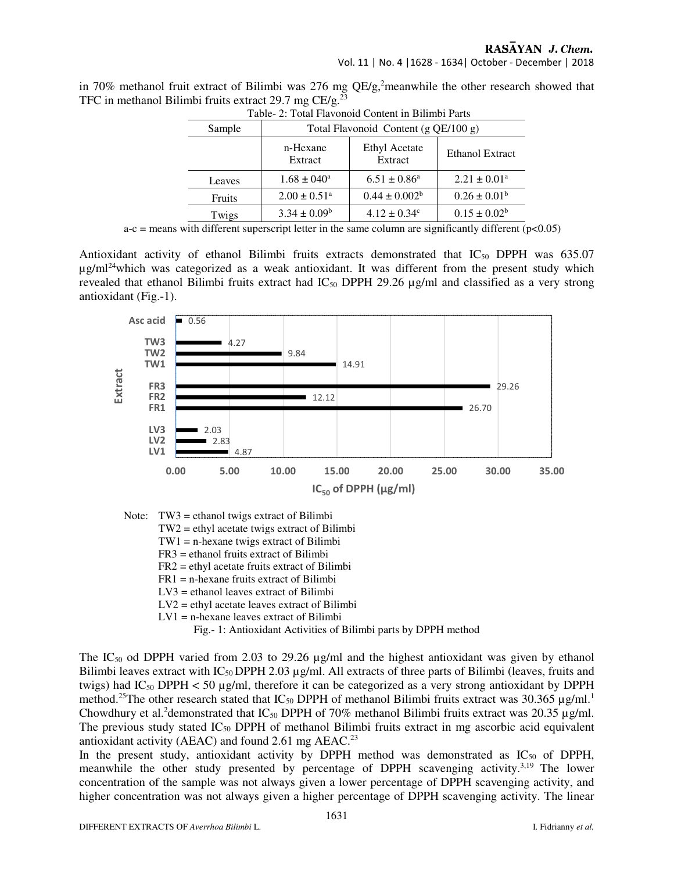RASAYAN J. Chem.

Vol. 11 | No. 4 |1628 - 1634| October - December | 2018

in 70% methanol fruit extract of Bilimbi was 276 mg  $OE/g$ , meanwhile the other research showed that TFC in methanol Bilimbi fruits extract 29.7 mg CE/g.<sup>23</sup>

| Table- 2: Total Flavonoid Content in Bilimbi Parts |                                      |                                 |                        |  |  |  |  |
|----------------------------------------------------|--------------------------------------|---------------------------------|------------------------|--|--|--|--|
| Sample                                             | Total Flavonoid Content (g QE/100 g) |                                 |                        |  |  |  |  |
|                                                    | n-Hexane<br>Extract                  | <b>Ethyl Acetate</b><br>Extract | <b>Ethanol Extract</b> |  |  |  |  |
| Leaves                                             | $1.68 \pm 040^a$                     | $6.51 \pm 0.86^a$               | $2.21 \pm 0.01^a$      |  |  |  |  |
| Fruits                                             | $2.00 \pm 0.51$ <sup>a</sup>         | $0.44 \pm 0.002^b$              | $0.26 \pm 0.01^b$      |  |  |  |  |
| Twigs                                              | $3.34 \pm 0.09^b$                    | $4.12 \pm 0.34^{\circ}$         | $0.15 \pm 0.02^b$      |  |  |  |  |

 $a-c$  = means with different superscript letter in the same column are significantly different ( $p<0.05$ )

Antioxidant activity of ethanol Bilimbi fruits extracts demonstrated that IC<sub>50</sub> DPPH was 635.07  $\mu$ g/ml<sup>24</sup>which was categorized as a weak antioxidant. It was different from the present study which revealed that ethanol Bilimbi fruits extract had  $IC_{50}$  DPPH 29.26  $\mu$ g/ml and classified as a very strong antioxidant (Fig.-1).



Note: TW3 = ethanol twigs extract of Bilimbi

- TW2 = ethyl acetate twigs extract of Bilimbi
- TW1 = n-hexane twigs extract of Bilimbi
- FR3 = ethanol fruits extract of Bilimbi
- FR2 = ethyl acetate fruits extract of Bilimbi
- FR1 = n-hexane fruits extract of Bilimbi
- LV3 = ethanol leaves extract of Bilimbi
- LV2 = ethyl acetate leaves extract of Bilimbi
- LV1 = n-hexane leaves extract of Bilimbi

Fig.- 1: Antioxidant Activities of Bilimbi parts by DPPH method

The IC<sub>50</sub> od DPPH varied from 2.03 to 29.26  $\mu$ g/ml and the highest antioxidant was given by ethanol Bilimbi leaves extract with  $IC_{50}$  DPPH 2.03  $\mu$ g/ml. All extracts of three parts of Bilimbi (leaves, fruits and twigs) had  $IC_{50}$  DPPH < 50 µg/ml, therefore it can be categorized as a very strong antioxidant by DPPH method.<sup>25</sup>The other research stated that  $IC_{50}$  DPPH of methanol Bilimbi fruits extract was 30.365 µg/ml.<sup>1</sup> Chowdhury et al.<sup>2</sup>demonstrated that  $IC_{50}$  DPPH of 70% methanol Bilimbi fruits extract was 20.35  $\mu$ g/ml. The previous study stated  $IC_{50}$  DPPH of methanol Bilimbi fruits extract in mg ascorbic acid equivalent antioxidant activity (AEAC) and found  $2.61$  mg AEAC.<sup>23</sup>

In the present study, antioxidant activity by DPPH method was demonstrated as  $IC_{50}$  of DPPH, meanwhile the other study presented by percentage of DPPH scavenging activity. $3,19$  The lower concentration of the sample was not always given a lower percentage of DPPH scavenging activity, and higher concentration was not always given a higher percentage of DPPH scavenging activity. The linear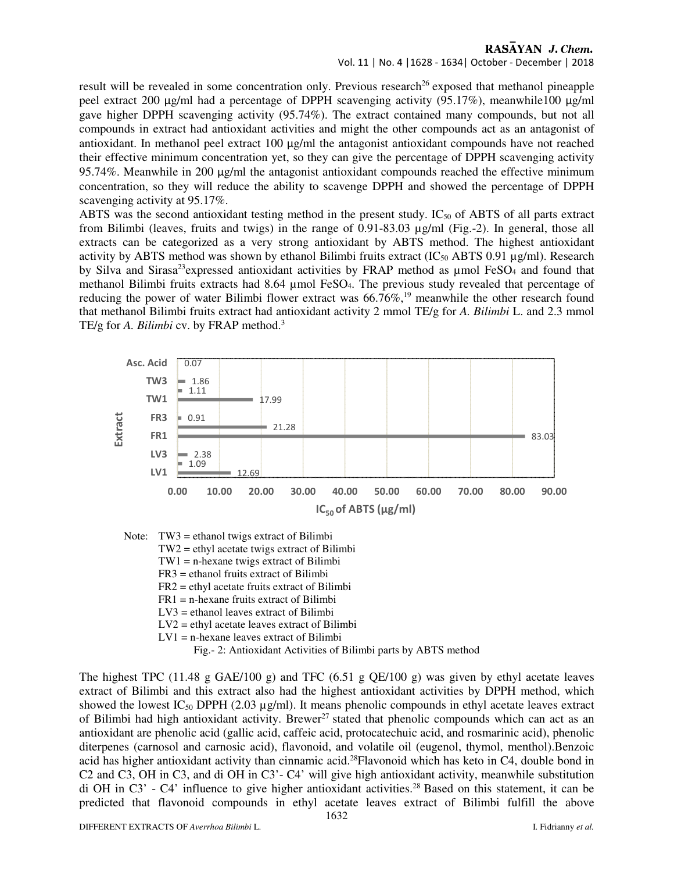# RASAYAN J. Chem.

Vol. 11 | No. 4 |1628 - 1634| October - December | 2018

result will be revealed in some concentration only. Previous research<sup>26</sup> exposed that methanol pineapple peel extract 200 µg/ml had a percentage of DPPH scavenging activity (95.17%), meanwhile100 µg/ml gave higher DPPH scavenging activity (95.74%). The extract contained many compounds, but not all compounds in extract had antioxidant activities and might the other compounds act as an antagonist of antioxidant. In methanol peel extract 100  $\mu$ g/ml the antagonist antioxidant compounds have not reached their effective minimum concentration yet, so they can give the percentage of DPPH scavenging activity 95.74%. Meanwhile in 200  $\mu$ g/ml the antagonist antioxidant compounds reached the effective minimum concentration, so they will reduce the ability to scavenge DPPH and showed the percentage of DPPH scavenging activity at 95.17%.

ABTS was the second antioxidant testing method in the present study.  $IC_{50}$  of ABTS of all parts extract from Bilimbi (leaves, fruits and twigs) in the range of 0.91-83.03 µg/ml (Fig.-2). In general, those all extracts can be categorized as a very strong antioxidant by ABTS method. The highest antioxidant activity by ABTS method was shown by ethanol Bilimbi fruits extract (IC<sub>50</sub> ABTS 0.91 µg/ml). Research by Silva and Sirasa<sup>23</sup>expressed antioxidant activities by FRAP method as umol FeSO<sub>4</sub> and found that methanol Bilimbi fruits extracts had 8.64 µmol FeSO4. The previous study revealed that percentage of reducing the power of water Bilimbi flower extract was  $66.76\%$ ,<sup>19</sup> meanwhile the other research found that methanol Bilimbi fruits extract had antioxidant activity 2 mmol TE/g for *A. Bilimbi* L. and 2.3 mmol TE/g for *A. Bilimbi* cv. by FRAP method.<sup>3</sup>



Note: TW3 = ethanol twigs extract of Bilimbi TW2 = ethyl acetate twigs extract of Bilimbi TW1 = n-hexane twigs extract of Bilimbi FR3 = ethanol fruits extract of Bilimbi

- FR2 = ethyl acetate fruits extract of Bilimbi
- FR1 = n-hexane fruits extract of Bilimbi
- LV3 = ethanol leaves extract of Bilimbi
- LV2 = ethyl acetate leaves extract of Bilimbi
- LV1 = n-hexane leaves extract of Bilimbi

Fig.- 2: Antioxidant Activities of Bilimbi parts by ABTS method

The highest TPC (11.48 g GAE/100 g) and TFC (6.51 g QE/100 g) was given by ethyl acetate leaves extract of Bilimbi and this extract also had the highest antioxidant activities by DPPH method, which showed the lowest IC<sub>50</sub> DPPH (2.03  $\mu$ g/ml). It means phenolic compounds in ethyl acetate leaves extract of Bilimbi had high antioxidant activity. Brewer<sup>27</sup> stated that phenolic compounds which can act as an antioxidant are phenolic acid (gallic acid, caffeic acid, protocatechuic acid, and rosmarinic acid), phenolic diterpenes (carnosol and carnosic acid), flavonoid, and volatile oil (eugenol, thymol, menthol).Benzoic acid has higher antioxidant activity than cinnamic acid.<sup>28</sup>Flavonoid which has keto in C4, double bond in C2 and C3, OH in C3, and di OH in C3'- C4' will give high antioxidant activity, meanwhile substitution di OH in C3' - C4' influence to give higher antioxidant activities.<sup>28</sup> Based on this statement, it can be predicted that flavonoid compounds in ethyl acetate leaves extract of Bilimbi fulfill the above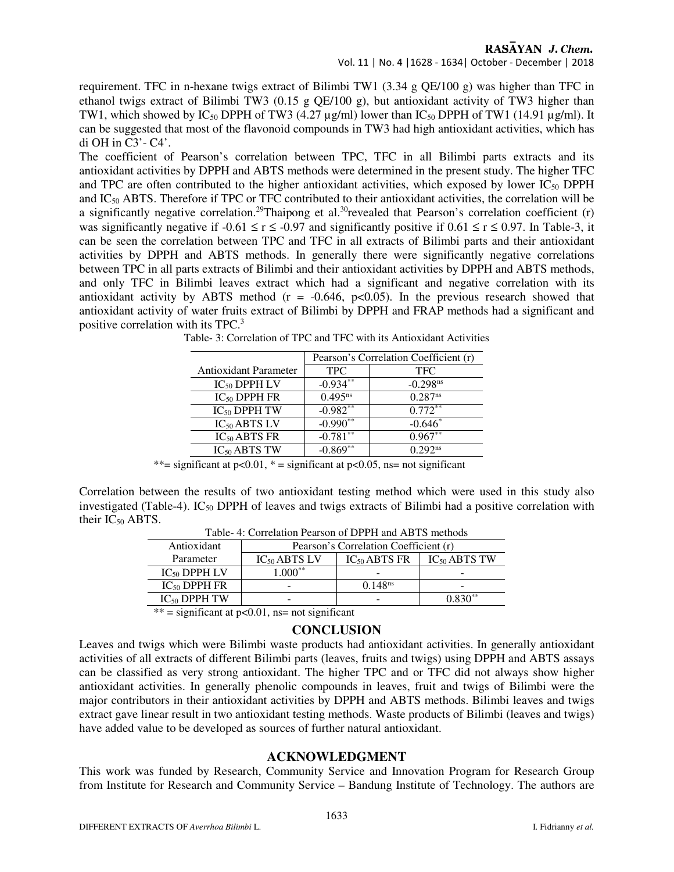## RASAYAN J. Chem.

Vol. 11 | No. 4 |1628 - 1634| October - December | 2018

requirement. TFC in n-hexane twigs extract of Bilimbi TW1 (3.34 g QE/100 g) was higher than TFC in ethanol twigs extract of Bilimbi TW3 (0.15 g QE/100 g), but antioxidant activity of TW3 higher than TW1, which showed by  $IC_{50}$  DPPH of TW3 (4.27 µg/ml) lower than  $IC_{50}$  DPPH of TW1 (14.91 µg/ml). It can be suggested that most of the flavonoid compounds in TW3 had high antioxidant activities, which has di OH in C3'- C4'.

The coefficient of Pearson's correlation between TPC, TFC in all Bilimbi parts extracts and its antioxidant activities by DPPH and ABTS methods were determined in the present study. The higher TFC and TPC are often contributed to the higher antioxidant activities, which exposed by lower  $IC_{50}$  DPPH and IC50 ABTS. Therefore if TPC or TFC contributed to their antioxidant activities, the correlation will be a significantly negative correlation.<sup>29</sup>Thaipong et al.<sup>30</sup>revealed that Pearson's correlation coefficient (r) was significantly negative if  $-0.61 \le r \le -0.97$  and significantly positive if  $0.61 \le r \le 0.97$ . In Table-3, it can be seen the correlation between TPC and TFC in all extracts of Bilimbi parts and their antioxidant activities by DPPH and ABTS methods. In generally there were significantly negative correlations between TPC in all parts extracts of Bilimbi and their antioxidant activities by DPPH and ABTS methods, and only TFC in Bilimbi leaves extract which had a significant and negative correlation with its antioxidant activity by ABTS method ( $r = -0.646$ ,  $p < 0.05$ ). In the previous research showed that antioxidant activity of water fruits extract of Bilimbi by DPPH and FRAP methods had a significant and positive correlation with its TPC.<sup>3</sup>

|                              | Pearson's Correlation Coefficient (r) |                        |
|------------------------------|---------------------------------------|------------------------|
| <b>Antioxidant Parameter</b> | <b>TPC</b>                            | <b>TFC</b>             |
| $IC_{50}$ DPPH LV            | $-0.934**$                            | $-0.298$ <sup>ns</sup> |
| $IC_{50}$ DPPH FR            | $0.495^{ns}$                          | $0.287$ <sup>ns</sup>  |
| $IC_{50}$ DPPH TW            | $-0.982$ <sup>**</sup>                | $0.772**$              |
| $IC_{50}$ ABTS LV            | $-0.990^{**}$                         | $-0.646*$              |
| $IC_{50}$ ABTS FR            | $-0.781$ <sup>**</sup>                | $0.967**$              |
| $IC_{50}$ ABTS TW            | $-0.869**$                            | $0.292^{ns}$           |
|                              |                                       |                        |

Table- 3: Correlation of TPC and TFC with its Antioxidant Activities

\*\*= significant at  $p<0.01$ , \* = significant at  $p<0.05$ , ns= not significant

Correlation between the results of two antioxidant testing method which were used in this study also investigated (Table-4). IC<sub>50</sub> DPPH of leaves and twigs extracts of Bilimbi had a positive correlation with their  $IC_{50}$  ABTS.

| Antioxidant       | Pearson's Correlation Coefficient (r) |                     |                   |  |  |  |  |
|-------------------|---------------------------------------|---------------------|-------------------|--|--|--|--|
| Parameter         | $IC_{50}$ ABTS LV                     | $IC_{50}$ ABTS FR   | $IC_{50}$ ABTS TW |  |  |  |  |
| $IC_{50}$ DPPH LV | $.000**$                              |                     | -                 |  |  |  |  |
| $IC_{50}$ DPPH FR | -                                     | 0.148 <sup>ns</sup> | -                 |  |  |  |  |
| $IC_{50}$ DPPH TW | $\overline{\phantom{a}}$              |                     | $0.830**$         |  |  |  |  |

Table- 4: Correlation Pearson of DPPH and ABTS methods

 $***$  = significant at p<0.01, ns= not significant

## **CONCLUSION**

Leaves and twigs which were Bilimbi waste products had antioxidant activities. In generally antioxidant activities of all extracts of different Bilimbi parts (leaves, fruits and twigs) using DPPH and ABTS assays can be classified as very strong antioxidant. The higher TPC and or TFC did not always show higher antioxidant activities. In generally phenolic compounds in leaves, fruit and twigs of Bilimbi were the major contributors in their antioxidant activities by DPPH and ABTS methods. Bilimbi leaves and twigs extract gave linear result in two antioxidant testing methods. Waste products of Bilimbi (leaves and twigs) have added value to be developed as sources of further natural antioxidant.

## **ACKNOWLEDGMENT**

This work was funded by Research, Community Service and Innovation Program for Research Group from Institute for Research and Community Service – Bandung Institute of Technology. The authors are